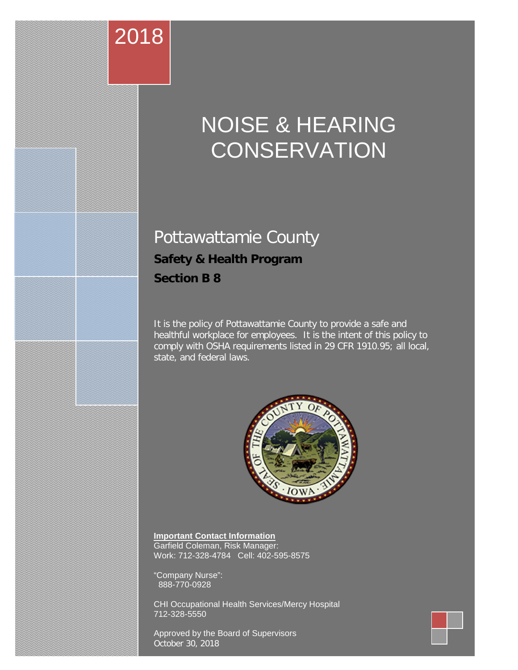## NOISE & HEARING **CONSERVATION**

### Pottawattamie County **Safety & Health Program Section B 8**

2018

It is the policy of Pottawattamie County to provide a safe and healthful workplace for employees. It is the intent of this policy to comply with OSHA requirements listed in 29 CFR 1910.95; all local, state, and federal laws.



**Important Contact Information** Garfield Coleman, Risk Manager: Work: 712-328-4784 Cell: 402-595-8575

"Company Nurse": 888-770-0928

CHI Occupational Health Services/Mercy Hospital 712-328-5550

Approved by the Board of Supervisors October 30, 2018

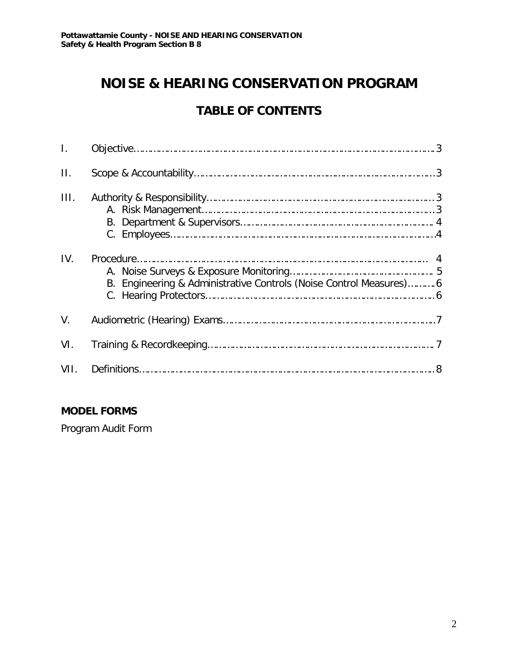#### **NOISE & HEARING CONSERVATION PROGRAM**

#### **TABLE OF CONTENTS**

| $\mathbf{L}$ |                                                                    |  |
|--------------|--------------------------------------------------------------------|--|
| $\Pi$ .      |                                                                    |  |
| III.         |                                                                    |  |
| IV.          | B. Engineering & Administrative Controls (Noise Control Measures)6 |  |
| V.           |                                                                    |  |
| VI.          |                                                                    |  |
| VII.         |                                                                    |  |

#### **MODEL FORMS**

Program Audit Form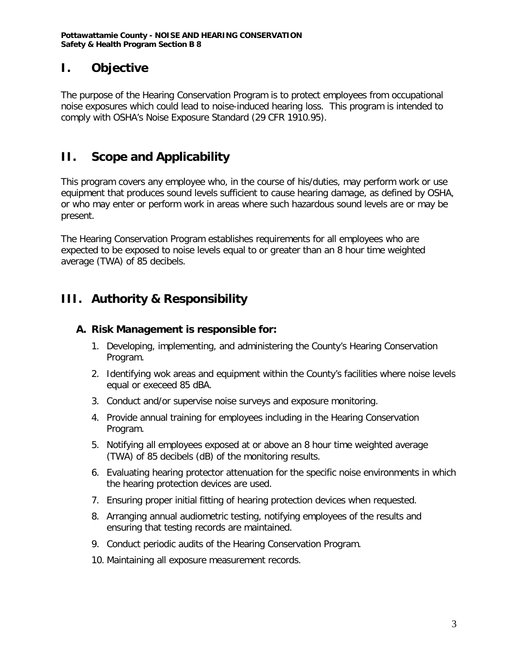#### **I. Objective**

The purpose of the Hearing Conservation Program is to protect employees from occupational noise exposures which could lead to noise-induced hearing loss. This program is intended to comply with OSHA's Noise Exposure Standard (29 CFR 1910.95).

#### **II. Scope and Applicability**

This program covers any employee who, in the course of his/duties, may perform work or use equipment that produces sound levels sufficient to cause hearing damage, as defined by OSHA, or who may enter or perform work in areas where such hazardous sound levels are or may be present.

The Hearing Conservation Program establishes requirements for all employees who are expected to be exposed to noise levels equal to or greater than an 8 hour time weighted average (TWA) of 85 decibels.

#### **III. Authority & Responsibility**

#### **A. Risk Management is responsible for:**

- 1. Developing, implementing, and administering the County's Hearing Conservation Program.
- 2. Identifying wok areas and equipment within the County's facilities where noise levels equal or execeed 85 dBA.
- 3. Conduct and/or supervise noise surveys and exposure monitoring.
- 4. Provide annual training for employees including in the Hearing Conservation Program.
- 5. Notifying all employees exposed at or above an 8 hour time weighted average (TWA) of 85 decibels (dB) of the monitoring results.
- 6. Evaluating hearing protector attenuation for the specific noise environments in which the hearing protection devices are used.
- 7. Ensuring proper initial fitting of hearing protection devices when requested.
- 8. Arranging annual audiometric testing, notifying employees of the results and ensuring that testing records are maintained.
- 9. Conduct periodic audits of the Hearing Conservation Program.
- 10. Maintaining all exposure measurement records.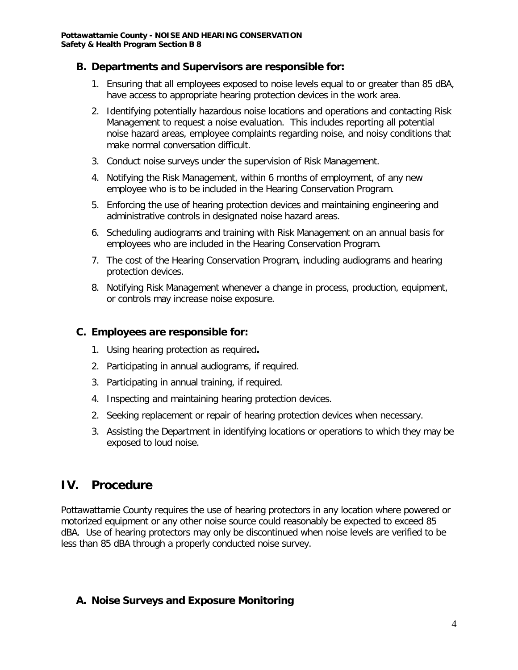#### **B. Departments and Supervisors are responsible for:**

- 1. Ensuring that all employees exposed to noise levels equal to or greater than 85 dBA, have access to appropriate hearing protection devices in the work area.
- 2. Identifying potentially hazardous noise locations and operations and contacting Risk Management to request a noise evaluation. This includes reporting all potential noise hazard areas, employee complaints regarding noise, and noisy conditions that make normal conversation difficult.
- 3. Conduct noise surveys under the supervision of Risk Management.
- 4. Notifying the Risk Management, within 6 months of employment, of any new employee who is to be included in the Hearing Conservation Program.
- 5. Enforcing the use of hearing protection devices and maintaining engineering and administrative controls in designated noise hazard areas.
- 6. Scheduling audiograms and training with Risk Management on an annual basis for employees who are included in the Hearing Conservation Program.
- 7. The cost of the Hearing Conservation Program, including audiograms and hearing protection devices.
- 8. Notifying Risk Management whenever a change in process, production, equipment, or controls may increase noise exposure.

#### **C. Employees are responsible for:**

- 1. Using hearing protection as required**.**
- 2. Participating in annual audiograms, if required.
- 3. Participating in annual training, if required.
- 4. Inspecting and maintaining hearing protection devices.
- 2. Seeking replacement or repair of hearing protection devices when necessary.
- 3. Assisting the Department in identifying locations or operations to which they may be exposed to loud noise.

#### **IV. Procedure**

Pottawattamie County requires the use of hearing protectors in any location where powered or motorized equipment or any other noise source could reasonably be expected to exceed 85 dBA. Use of hearing protectors may only be discontinued when noise levels are verified to be less than 85 dBA through a properly conducted noise survey.

#### **A. Noise Surveys and Exposure Monitoring**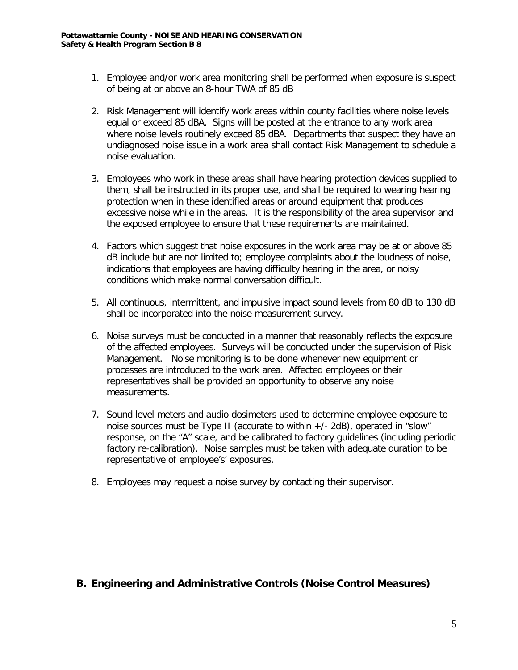- 1. Employee and/or work area monitoring shall be performed when exposure is suspect of being at or above an 8-hour TWA of 85 dB
- 2. Risk Management will identify work areas within county facilities where noise levels equal or exceed 85 dBA. Signs will be posted at the entrance to any work area where noise levels routinely exceed 85 dBA. Departments that suspect they have an undiagnosed noise issue in a work area shall contact Risk Management to schedule a noise evaluation.
- 3. Employees who work in these areas shall have hearing protection devices supplied to them, shall be instructed in its proper use, and shall be required to wearing hearing protection when in these identified areas or around equipment that produces excessive noise while in the areas. It is the responsibility of the area supervisor and the exposed employee to ensure that these requirements are maintained.
- 4. Factors which suggest that noise exposures in the work area may be at or above 85 dB include but are not limited to; employee complaints about the loudness of noise, indications that employees are having difficulty hearing in the area, or noisy conditions which make normal conversation difficult.
- 5. All continuous, intermittent, and impulsive impact sound levels from 80 dB to 130 dB shall be incorporated into the noise measurement survey.
- 6. Noise surveys must be conducted in a manner that reasonably reflects the exposure of the affected employees. Surveys will be conducted under the supervision of Risk Management. Noise monitoring is to be done whenever new equipment or processes are introduced to the work area. Affected employees or their representatives shall be provided an opportunity to observe any noise measurements.
- 7. Sound level meters and audio dosimeters used to determine employee exposure to noise sources must be Type II (accurate to within +/- 2dB), operated in "slow" response, on the "A" scale, and be calibrated to factory guidelines (including periodic factory re-calibration). Noise samples must be taken with adequate duration to be representative of employee's' exposures.
- 8. Employees may request a noise survey by contacting their supervisor.

#### **B. Engineering and Administrative Controls (Noise Control Measures)**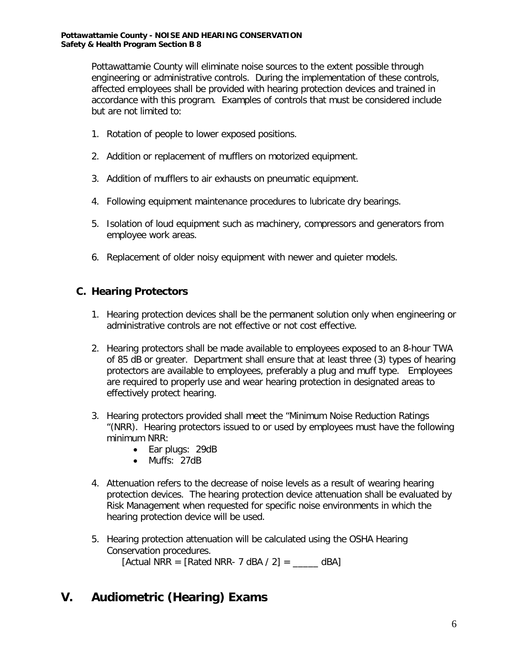Pottawattamie County will eliminate noise sources to the extent possible through engineering or administrative controls. During the implementation of these controls, affected employees shall be provided with hearing protection devices and trained in accordance with this program. Examples of controls that must be considered include but are not limited to:

- 1. Rotation of people to lower exposed positions.
- 2. Addition or replacement of mufflers on motorized equipment.
- 3. Addition of mufflers to air exhausts on pneumatic equipment.
- 4. Following equipment maintenance procedures to lubricate dry bearings.
- 5. Isolation of loud equipment such as machinery, compressors and generators from employee work areas.
- 6. Replacement of older noisy equipment with newer and quieter models.

#### **C. Hearing Protectors**

- 1. Hearing protection devices shall be the permanent solution only when engineering or administrative controls are not effective or not cost effective.
- 2. Hearing protectors shall be made available to employees exposed to an 8-hour TWA of 85 dB or greater. Department shall ensure that at least three (3) types of hearing protectors are available to employees, preferably a plug and muff type. Employees are required to properly use and wear hearing protection in designated areas to effectively protect hearing.
- 3. Hearing protectors provided shall meet the "Minimum Noise Reduction Ratings "(NRR). Hearing protectors issued to or used by employees must have the following minimum NRR:
	- Ear plugs: 29dB
	- Muffs: 27dB
- 4. Attenuation refers to the decrease of noise levels as a result of wearing hearing protection devices. The hearing protection device attenuation shall be evaluated by Risk Management when requested for specific noise environments in which the hearing protection device will be used.
- 5. Hearing protection attenuation will be calculated using the OSHA Hearing Conservation procedures. [Actual NRR = [Rated NRR- 7 dBA / 2] =  $\_\_\_\_\_$  dBA]

#### **V. Audiometric (Hearing) Exams**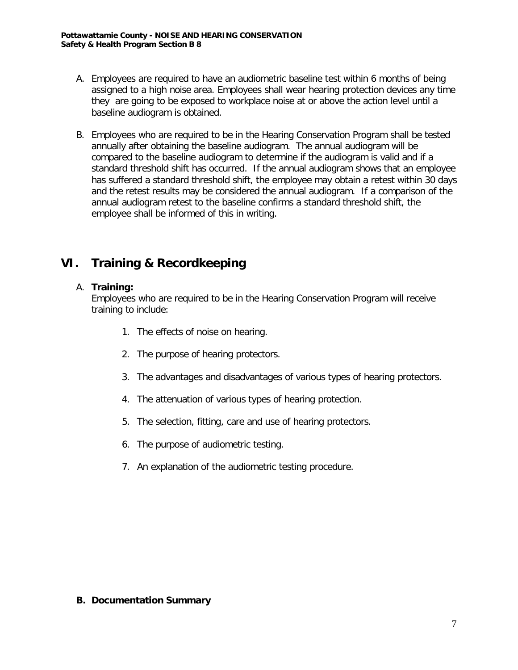- A. Employees are required to have an audiometric baseline test within 6 months of being assigned to a high noise area. Employees shall wear hearing protection devices any time they are going to be exposed to workplace noise at or above the action level until a baseline audiogram is obtained.
- B. Employees who are required to be in the Hearing Conservation Program shall be tested annually after obtaining the baseline audiogram. The annual audiogram will be compared to the baseline audiogram to determine if the audiogram is valid and if a standard threshold shift has occurred. If the annual audiogram shows that an employee has suffered a standard threshold shift, the employee may obtain a retest within 30 days and the retest results may be considered the annual audiogram. If a comparison of the annual audiogram retest to the baseline confirms a standard threshold shift, the employee shall be informed of this in writing.

#### **VI. Training & Recordkeeping**

#### A. **Training:**

Employees who are required to be in the Hearing Conservation Program will receive training to include:

- 1. The effects of noise on hearing.
- 2. The purpose of hearing protectors.
- 3. The advantages and disadvantages of various types of hearing protectors.
- 4. The attenuation of various types of hearing protection.
- 5. The selection, fitting, care and use of hearing protectors.
- 6. The purpose of audiometric testing.
- 7. An explanation of the audiometric testing procedure.

#### **B. Documentation Summary**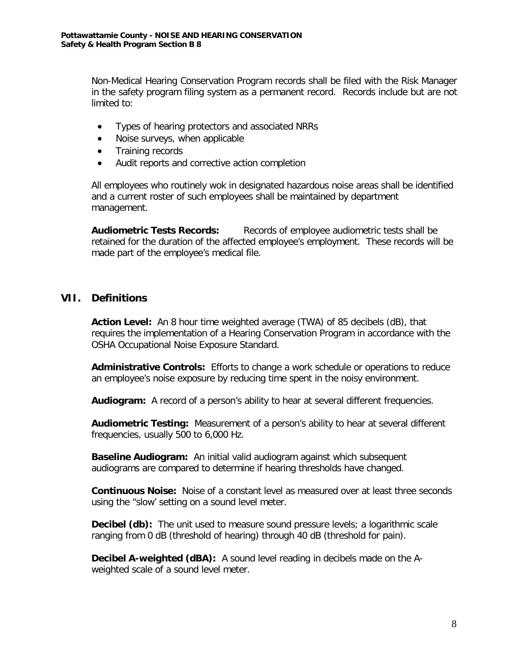Non-Medical Hearing Conservation Program records shall be filed with the Risk Manager in the safety program filing system as a permanent record. Records include but are not limited to:

- Types of hearing protectors and associated NRRs
- Noise surveys, when applicable
- Training records
- Audit reports and corrective action completion

All employees who routinely wok in designated hazardous noise areas shall be identified and a current roster of such employees shall be maintained by department management.

**Audiometric Tests Records:** Records of employee audiometric tests shall be retained for the duration of the affected employee's employment. These records will be made part of the employee's medical file.

#### **VII. Definitions**

**Action Level:** An 8 hour time weighted average (TWA) of 85 decibels (dB), that requires the implementation of a Hearing Conservation Program in accordance with the OSHA Occupational Noise Exposure Standard.

**Administrative Controls:** Efforts to change a work schedule or operations to reduce an employee's noise exposure by reducing time spent in the noisy environment.

**Audiogram:** A record of a person's ability to hear at several different frequencies.

**Audiometric Testing:** Measurement of a person's ability to hear at several different frequencies, usually 500 to 6,000 Hz.

**Baseline Audiogram:** An initial valid audiogram against which subsequent audiograms are compared to determine if hearing thresholds have changed.

**Continuous Noise:** Noise of a constant level as measured over at least three seconds using the "slow' setting on a sound level meter.

**Decibel (db):** The unit used to measure sound pressure levels; a logarithmic scale ranging from 0 dB (threshold of hearing) through 40 dB (threshold for pain).

**Decibel A-weighted (dBA):** A sound level reading in decibels made on the Aweighted scale of a sound level meter.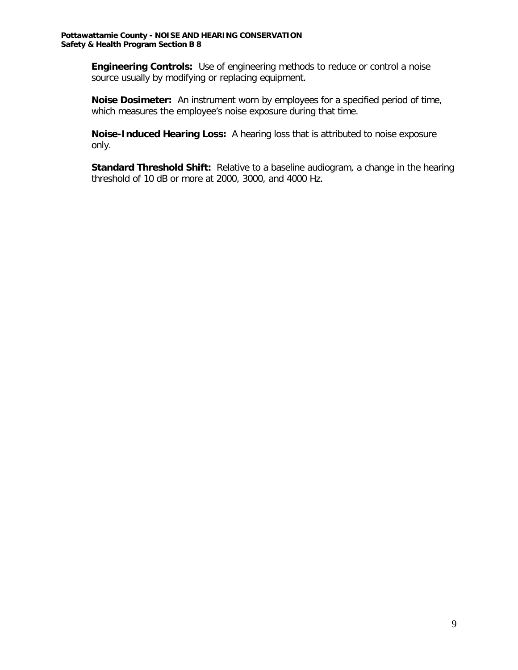**Engineering Controls:** Use of engineering methods to reduce or control a noise source usually by modifying or replacing equipment.

**Noise Dosimeter:** An instrument worn by employees for a specified period of time, which measures the employee's noise exposure during that time.

**Noise-Induced Hearing Loss:** A hearing loss that is attributed to noise exposure only.

**Standard Threshold Shift:** Relative to a baseline audiogram, a change in the hearing threshold of 10 dB or more at 2000, 3000, and 4000 Hz.